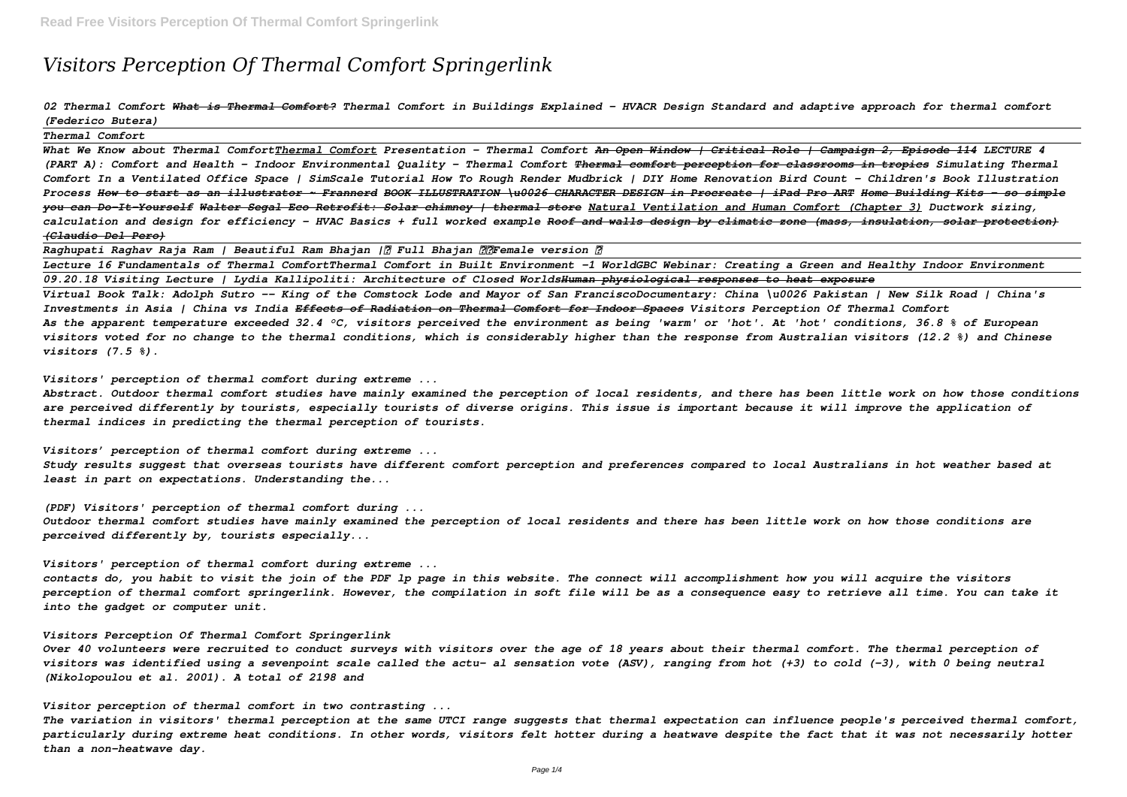# *Visitors Perception Of Thermal Comfort Springerlink*

# *02 Thermal Comfort What is Thermal Comfort? Thermal Comfort in Buildings Explained - HVACR Design Standard and adaptive approach for thermal comfort (Federico Butera)*

*Thermal Comfort*

*What We Know about Thermal ComfortThermal Comfort Presentation - Thermal Comfort An Open Window | Critical Role | Campaign 2, Episode 114 LECTURE 4 (PART A): Comfort and Health - Indoor Environmental Quality - Thermal Comfort Thermal comfort perception for classrooms in tropics Simulating Thermal Comfort In a Ventilated Office Space | SimScale Tutorial How To Rough Render Mudbrick | DIY Home Renovation Bird Count - Children's Book Illustration Process How to start as an illustrator ~ Frannerd BOOK ILLUSTRATION \u0026 CHARACTER DESIGN in Procreate | iPad Pro ART Home Building Kits - so simple you can Do-It-Yourself Walter Segal Eco Retrofit: Solar chimney | thermal store Natural Ventilation and Human Comfort (Chapter 3) Ductwork sizing, calculation and design for efficiency - HVAC Basics + full worked example Roof and walls design by climatic zone (mass, insulation, solar protection) (Claudio Del Pero)*

*Raghupati Raghav Raja Ram | Beautiful Ram Bhajan |《 Full Bhajan 》《Female version 》*

*Lecture 16 Fundamentals of Thermal ComfortThermal Comfort in Built Environment -1 WorldGBC Webinar: Creating a Green and Healthy Indoor Environment 09.20.18 Visiting Lecture | Lydia Kallipoliti: Architecture of Closed WorldsHuman physiological responses to heat exposure Virtual Book Talk: Adolph Sutro -- King of the Comstock Lode and Mayor of San FranciscoDocumentary: China \u0026 Pakistan | New Silk Road | China's Investments in Asia | China vs India Effects of Radiation on Thermal Comfort for Indoor Spaces Visitors Perception Of Thermal Comfort As the apparent temperature exceeded 32.4 °C, visitors perceived the environment as being 'warm' or 'hot'. At 'hot' conditions, 36.8 % of European visitors voted for no change to the thermal conditions, which is considerably higher than the response from Australian visitors (12.2 %) and Chinese visitors (7.5 %).*

*Visitors' perception of thermal comfort during extreme ...*

*Abstract. Outdoor thermal comfort studies have mainly examined the perception of local residents, and there has been little work on how those conditions are perceived differently by tourists, especially tourists of diverse origins. This issue is important because it will improve the application of thermal indices in predicting the thermal perception of tourists.*

*Visitors' perception of thermal comfort during extreme ... Study results suggest that overseas tourists have different comfort perception and preferences compared to local Australians in hot weather based at least in part on expectations. Understanding the...*

*(PDF) Visitors' perception of thermal comfort during ... Outdoor thermal comfort studies have mainly examined the perception of local residents and there has been little work on how those conditions are perceived differently by, tourists especially...*

*Visitors' perception of thermal comfort during extreme ... contacts do, you habit to visit the join of the PDF lp page in this website. The connect will accomplishment how you will acquire the visitors perception of thermal comfort springerlink. However, the compilation in soft file will be as a consequence easy to retrieve all time. You can take it into the gadget or computer unit.*

*Visitors Perception Of Thermal Comfort Springerlink*

*Over 40 volunteers were recruited to conduct surveys with visitors over the age of 18 years about their thermal comfort. The thermal perception of visitors was identified using a sevenpoint scale called the actu- al sensation vote (ASV), ranging from hot (+3) to cold (-3), with 0 being neutral (Nikolopoulou et al. 2001). A total of 2198 and*

*Visitor perception of thermal comfort in two contrasting ...*

*The variation in visitors' thermal perception at the same UTCI range suggests that thermal expectation can influence people's perceived thermal comfort, particularly during extreme heat conditions. In other words, visitors felt hotter during a heatwave despite the fact that it was not necessarily hotter than a non-heatwave day.*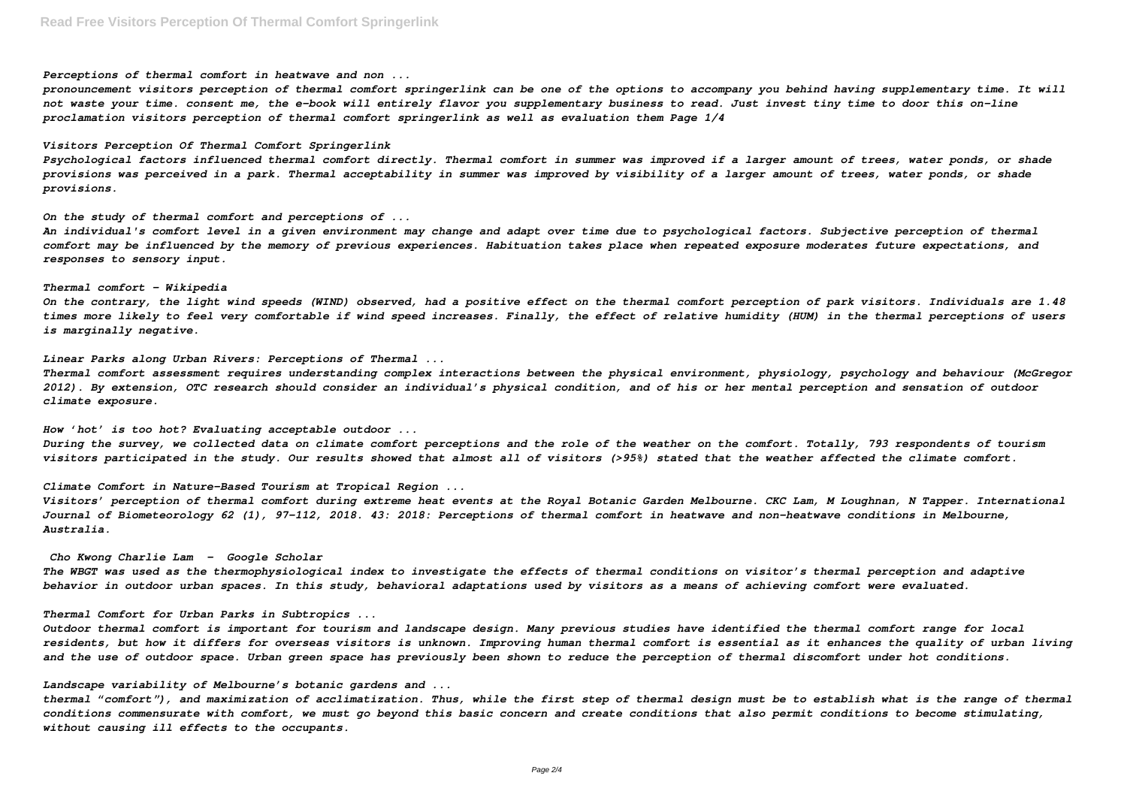*Perceptions of thermal comfort in heatwave and non ...*

*pronouncement visitors perception of thermal comfort springerlink can be one of the options to accompany you behind having supplementary time. It will not waste your time. consent me, the e-book will entirely flavor you supplementary business to read. Just invest tiny time to door this on-line proclamation visitors perception of thermal comfort springerlink as well as evaluation them Page 1/4*

### *Visitors Perception Of Thermal Comfort Springerlink*

*Psychological factors influenced thermal comfort directly. Thermal comfort in summer was improved if a larger amount of trees, water ponds, or shade provisions was perceived in a park. Thermal acceptability in summer was improved by visibility of a larger amount of trees, water ponds, or shade provisions.*

*On the study of thermal comfort and perceptions of ...*

*An individual's comfort level in a given environment may change and adapt over time due to psychological factors. Subjective perception of thermal comfort may be influenced by the memory of previous experiences. Habituation takes place when repeated exposure moderates future expectations, and responses to sensory input.*

### *Thermal comfort - Wikipedia*

*On the contrary, the light wind speeds (WIND) observed, had a positive effect on the thermal comfort perception of park visitors. Individuals are 1.48 times more likely to feel very comfortable if wind speed increases. Finally, the effect of relative humidity (HUM) in the thermal perceptions of users is marginally negative.*

*Linear Parks along Urban Rivers: Perceptions of Thermal ...*

*Thermal comfort assessment requires understanding complex interactions between the physical environment, physiology, psychology and behaviour (McGregor 2012). By extension, OTC research should consider an individual's physical condition, and of his or her mental perception and sensation of outdoor climate exposure.*

*How 'hot' is too hot? Evaluating acceptable outdoor ... During the survey, we collected data on climate comfort perceptions and the role of the weather on the comfort. Totally, 793 respondents of tourism visitors participated in the study. Our results showed that almost all of visitors (>95%) stated that the weather affected the climate comfort.*

*Climate Comfort in Nature-Based Tourism at Tropical Region ...*

*Visitors' perception of thermal comfort during extreme heat events at the Royal Botanic Garden Melbourne. CKC Lam, M Loughnan, N Tapper. International Journal of Biometeorology 62 (1), 97-112, 2018. 43: 2018: Perceptions of thermal comfort in heatwave and non-heatwave conditions in Melbourne, Australia.*

*Cho Kwong Charlie Lam - Google Scholar The WBGT was used as the thermophysiological index to investigate the effects of thermal conditions on visitor's thermal perception and adaptive behavior in outdoor urban spaces. In this study, behavioral adaptations used by visitors as a means of achieving comfort were evaluated.*

## *Thermal Comfort for Urban Parks in Subtropics ...*

*Outdoor thermal comfort is important for tourism and landscape design. Many previous studies have identified the thermal comfort range for local residents, but how it differs for overseas visitors is unknown. Improving human thermal comfort is essential as it enhances the quality of urban living and the use of outdoor space. Urban green space has previously been shown to reduce the perception of thermal discomfort under hot conditions.*

*Landscape variability of Melbourne's botanic gardens and ...*

*thermal "comfort"), and maximization of acclimatization. Thus, while the first step of thermal design must be to establish what is the range of thermal conditions commensurate with comfort, we must go beyond this basic concern and create conditions that also permit conditions to become stimulating, without causing ill effects to the occupants.*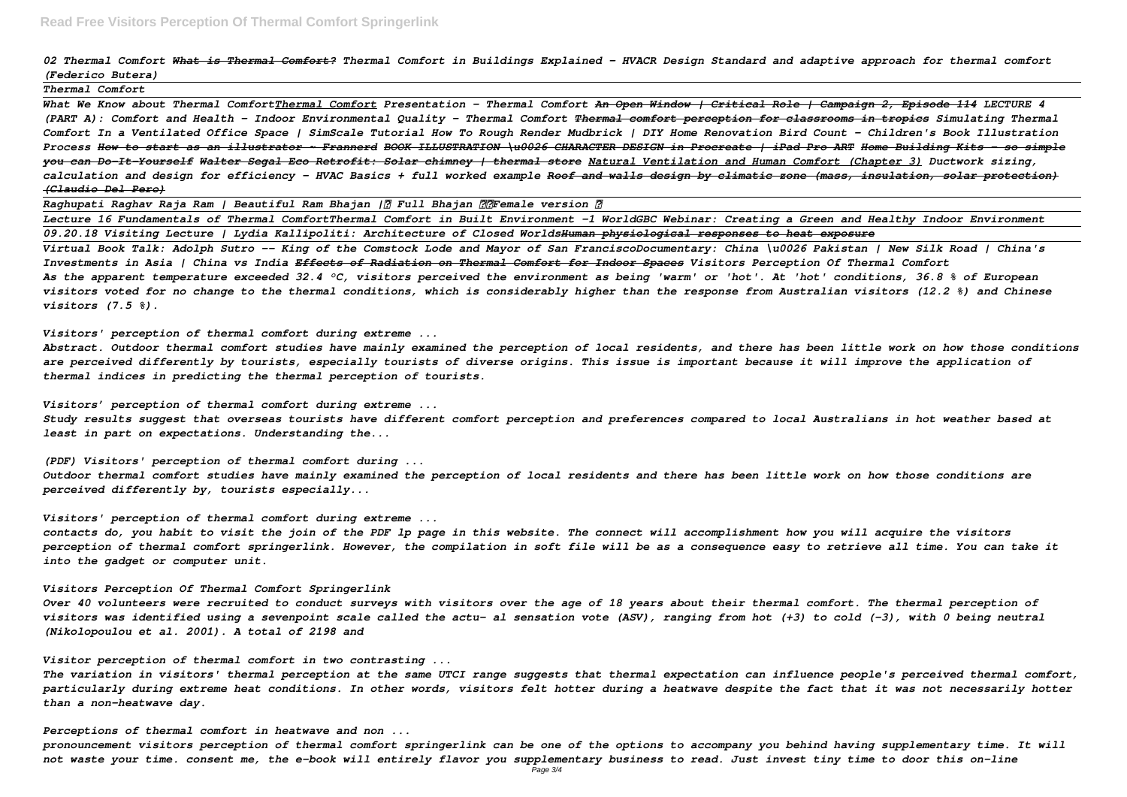*02 Thermal Comfort What is Thermal Comfort? Thermal Comfort in Buildings Explained - HVACR Design Standard and adaptive approach for thermal comfort (Federico Butera)*

*Thermal Comfort*

*What We Know about Thermal ComfortThermal Comfort Presentation - Thermal Comfort An Open Window | Critical Role | Campaign 2, Episode 114 LECTURE 4 (PART A): Comfort and Health - Indoor Environmental Quality - Thermal Comfort Thermal comfort perception for classrooms in tropics Simulating Thermal Comfort In a Ventilated Office Space | SimScale Tutorial How To Rough Render Mudbrick | DIY Home Renovation Bird Count - Children's Book Illustration Process How to start as an illustrator ~ Frannerd BOOK ILLUSTRATION \u0026 CHARACTER DESIGN in Procreate | iPad Pro ART Home Building Kits - so simple you can Do-It-Yourself Walter Segal Eco Retrofit: Solar chimney | thermal store Natural Ventilation and Human Comfort (Chapter 3) Ductwork sizing, calculation and design for efficiency - HVAC Basics + full worked example Roof and walls design by climatic zone (mass, insulation, solar protection) (Claudio Del Pero)*

*Raghupati Raghav Raja Ram | Beautiful Ram Bhajan |《 Full Bhajan 》《Female version 》*

*Lecture 16 Fundamentals of Thermal ComfortThermal Comfort in Built Environment -1 WorldGBC Webinar: Creating a Green and Healthy Indoor Environment 09.20.18 Visiting Lecture | Lydia Kallipoliti: Architecture of Closed WorldsHuman physiological responses to heat exposure Virtual Book Talk: Adolph Sutro -- King of the Comstock Lode and Mayor of San FranciscoDocumentary: China \u0026 Pakistan | New Silk Road | China's Investments in Asia | China vs India Effects of Radiation on Thermal Comfort for Indoor Spaces Visitors Perception Of Thermal Comfort As the apparent temperature exceeded 32.4 °C, visitors perceived the environment as being 'warm' or 'hot'. At 'hot' conditions, 36.8 % of European visitors voted for no change to the thermal conditions, which is considerably higher than the response from Australian visitors (12.2 %) and Chinese visitors (7.5 %).*

*Visitors' perception of thermal comfort during extreme ...*

*Abstract. Outdoor thermal comfort studies have mainly examined the perception of local residents, and there has been little work on how those conditions are perceived differently by tourists, especially tourists of diverse origins. This issue is important because it will improve the application of thermal indices in predicting the thermal perception of tourists.*

*Visitors' perception of thermal comfort during extreme ...*

*Study results suggest that overseas tourists have different comfort perception and preferences compared to local Australians in hot weather based at least in part on expectations. Understanding the...*

*(PDF) Visitors' perception of thermal comfort during ... Outdoor thermal comfort studies have mainly examined the perception of local residents and there has been little work on how those conditions are perceived differently by, tourists especially...*

*Visitors' perception of thermal comfort during extreme ... contacts do, you habit to visit the join of the PDF lp page in this website. The connect will accomplishment how you will acquire the visitors perception of thermal comfort springerlink. However, the compilation in soft file will be as a consequence easy to retrieve all time. You can take it into the gadget or computer unit.*

*Visitors Perception Of Thermal Comfort Springerlink*

*Over 40 volunteers were recruited to conduct surveys with visitors over the age of 18 years about their thermal comfort. The thermal perception of visitors was identified using a sevenpoint scale called the actu- al sensation vote (ASV), ranging from hot (+3) to cold (-3), with 0 being neutral (Nikolopoulou et al. 2001). A total of 2198 and*

*Visitor perception of thermal comfort in two contrasting ...*

*The variation in visitors' thermal perception at the same UTCI range suggests that thermal expectation can influence people's perceived thermal comfort, particularly during extreme heat conditions. In other words, visitors felt hotter during a heatwave despite the fact that it was not necessarily hotter than a non-heatwave day.*

*Perceptions of thermal comfort in heatwave and non ... pronouncement visitors perception of thermal comfort springerlink can be one of the options to accompany you behind having supplementary time. It will not waste your time. consent me, the e-book will entirely flavor you supplementary business to read. Just invest tiny time to door this on-line*